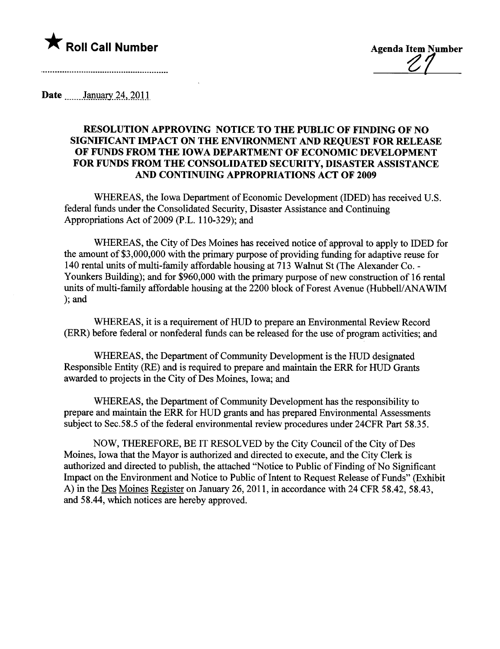

 $\mathcal{L}$ 

Date \_\_\_\_\_\_\_January 24, 2011

## RESOLUTION APPROVING NOTICE TO THE PUBLIC OF FINDING OF NO SIGNIFICANT IMPACT ON THE ENVIRONMENT AND REQUEST FOR RELEASE OF FUNDS FROM THE IOWA DEPARTMENT OF ECONOMIC DEVELOPMENT FOR FUNDS FROM THE CONSOLIDATED SECURITY, DISASTER ASSISTANCE AND CONTINUING APPROPRIATIONS ACT OF 2009

WHEREAS, the Iowa Deparment of Economic Development (IDED) has received U.S. federal funds under the Consolidated Security, Disaster Assistance and Continuing Appropriations Act of 2009 (P.L. 110-329); and

WHEREAS, the City of Des Moines has received notice of approval to apply to IDED for the amount of  $$3,000,000$  with the primary purpose of providing funding for adaptive reuse for 140 rental units of multi-family affordable housing at 713 Walnut St (The Alexander Co. - Younkers Building); and for \$960,000 with the primary purpose of new construction of 16 rental units of multi-family affordable housing at the 2200 block of Forest Avenue (Hubbell/ANAWIM ); and

WHEREAS, it is a requirement of HUD to prepare an Environmental Review Record (ERR) before federal or nonfederal fuds can be released for the use of program activities; and

WHEREAS, the Department of Community Development is the HUD designated Responsible Entity (RE) and is required to prepare and maintain the ERR for HUD Grants awarded to projects in the City of Des Moines, Iowa; and

WHEREAS, the Department of Community Development has the responsibility to prepare and maintain the ERR for HUD grants and has prepared Environmental Assessments subject to Sec.58.5 of the federal environmental review procedures under 24CFR Part 58.35.

NOW, THEREFORE, BE IT RESOLVED by the City Council of the City of Des Moines, Iowa that the Mayor is authorized and directed to execute, and the City Clerk is authorized and directed to publish, the attached "Notice to Public of Finding of No Significant Impact on the Environment and Notice to Public of Intent to Request Release of Funds" (Exhibit A) in the Des Moines Register on January 26, 2011, in accordance with 24 CFR 58.42, 58.43, and 58.44, which notices are hereby approved.